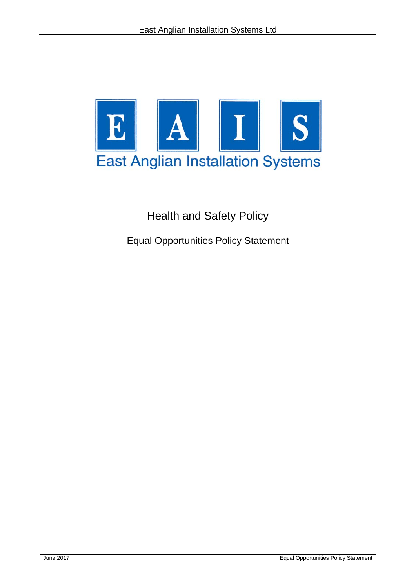

Health and Safety Policy

Equal Opportunities Policy Statement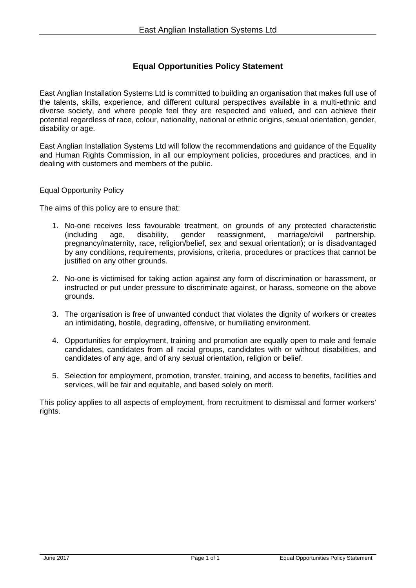## **Equal Opportunities Policy Statement**

East Anglian Installation Systems Ltd is committed to building an organisation that makes full use of the talents, skills, experience, and different cultural perspectives available in a multi-ethnic and diverse society, and where people feel they are respected and valued, and can achieve their potential regardless of race, colour, nationality, national or ethnic origins, sexual orientation, gender, disability or age.

East Anglian Installation Systems Ltd will follow the recommendations and guidance of the Equality and Human Rights Commission, in all our employment policies, procedures and practices, and in dealing with customers and members of the public.

## Equal Opportunity Policy

The aims of this policy are to ensure that:

- 1. No-one receives less favourable treatment, on grounds of any protected characteristic (including age, disability, gender reassignment, marriage/civil partnership, pregnancy/maternity, race, religion/belief, sex and sexual orientation); or is disadvantaged by any conditions, requirements, provisions, criteria, procedures or practices that cannot be justified on any other grounds.
- 2. No-one is victimised for taking action against any form of discrimination or harassment, or instructed or put under pressure to discriminate against, or harass, someone on the above grounds.
- 3. The organisation is free of unwanted conduct that violates the dignity of workers or creates an intimidating, hostile, degrading, offensive, or humiliating environment.
- 4. Opportunities for employment, training and promotion are equally open to male and female candidates, candidates from all racial groups, candidates with or without disabilities, and candidates of any age, and of any sexual orientation, religion or belief.
- 5. Selection for employment, promotion, transfer, training, and access to benefits, facilities and services, will be fair and equitable, and based solely on merit.

This policy applies to all aspects of employment, from recruitment to dismissal and former workers' rights.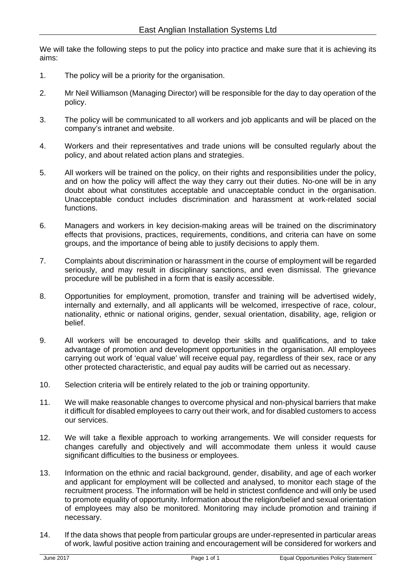We will take the following steps to put the policy into practice and make sure that it is achieving its aims:

- 1. The policy will be a priority for the organisation.
- 2. Mr Neil Williamson (Managing Director) will be responsible for the day to day operation of the policy.
- 3. The policy will be communicated to all workers and job applicants and will be placed on the company's intranet and website.
- 4. Workers and their representatives and trade unions will be consulted regularly about the policy, and about related action plans and strategies.
- 5. All workers will be trained on the policy, on their rights and responsibilities under the policy, and on how the policy will affect the way they carry out their duties. No-one will be in any doubt about what constitutes acceptable and unacceptable conduct in the organisation. Unacceptable conduct includes discrimination and harassment at work-related social functions.
- 6. Managers and workers in key decision-making areas will be trained on the discriminatory effects that provisions, practices, requirements, conditions, and criteria can have on some groups, and the importance of being able to justify decisions to apply them.
- 7. Complaints about discrimination or harassment in the course of employment will be regarded seriously, and may result in disciplinary sanctions, and even dismissal. The grievance procedure will be published in a form that is easily accessible.
- 8. Opportunities for employment, promotion, transfer and training will be advertised widely, internally and externally, and all applicants will be welcomed, irrespective of race, colour, nationality, ethnic or national origins, gender, sexual orientation, disability, age, religion or belief.
- 9. All workers will be encouraged to develop their skills and qualifications, and to take advantage of promotion and development opportunities in the organisation. All employees carrying out work of 'equal value' will receive equal pay, regardless of their sex, race or any other protected characteristic, and equal pay audits will be carried out as necessary.
- 10. Selection criteria will be entirely related to the job or training opportunity.
- 11. We will make reasonable changes to overcome physical and non-physical barriers that make it difficult for disabled employees to carry out their work, and for disabled customers to access our services.
- 12. We will take a flexible approach to working arrangements. We will consider requests for changes carefully and objectively and will accommodate them unless it would cause significant difficulties to the business or employees.
- 13. Information on the ethnic and racial background, gender, disability, and age of each worker and applicant for employment will be collected and analysed, to monitor each stage of the recruitment process. The information will be held in strictest confidence and will only be used to promote equality of opportunity. Information about the religion/belief and sexual orientation of employees may also be monitored. Monitoring may include promotion and training if necessary.
- 14. If the data shows that people from particular groups are under-represented in particular areas of work, lawful positive action training and encouragement will be considered for workers and